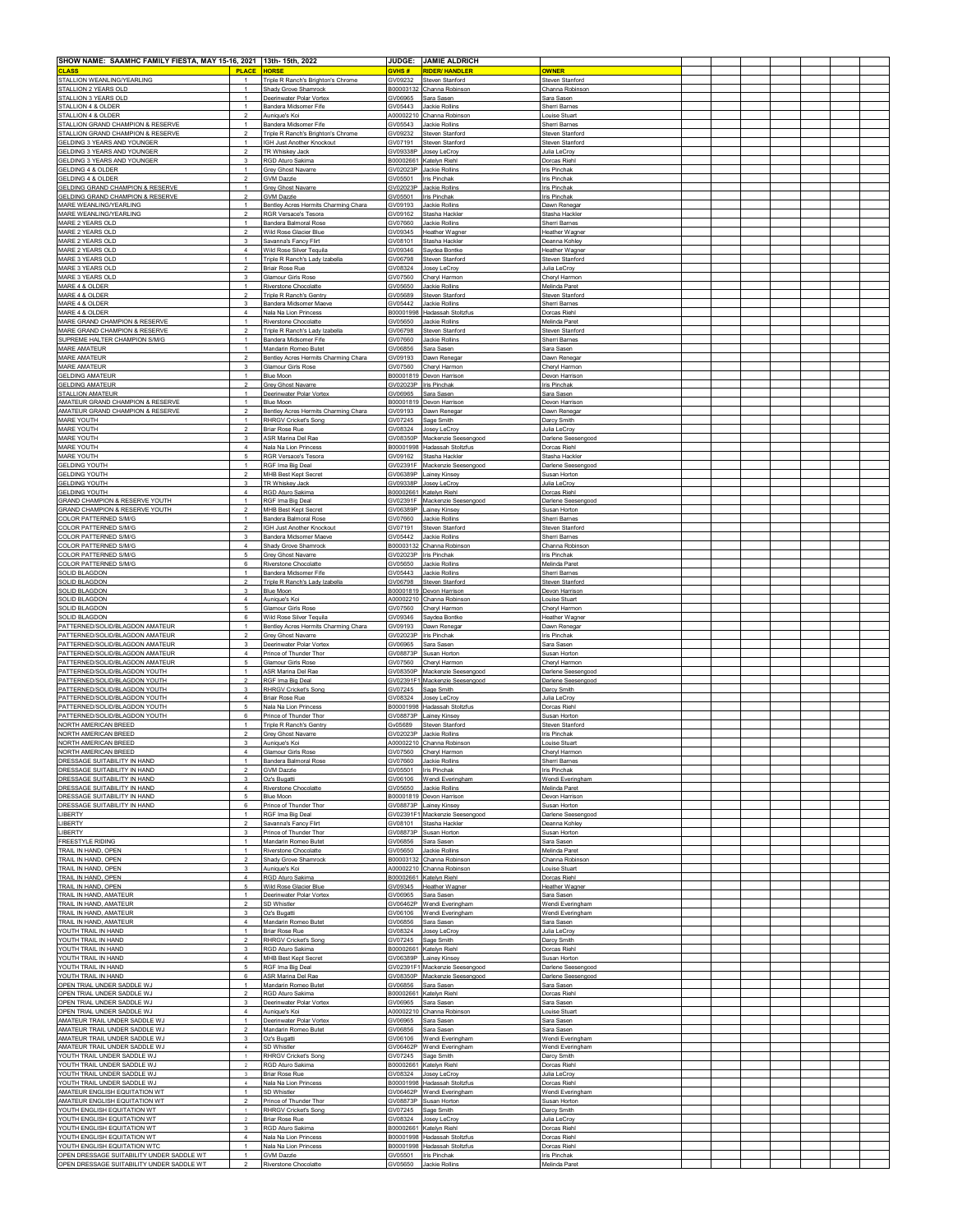| SHOW NAME: SAAMHC FAMILY FIESTA, MAY 15-16, 2021 13th- 15th, 2022                                                                                                                                                                                                                                                                                                                                                                                                                                                                                                                                                                                                                                                                                                                                                                                                                                                                                                                                                                                                                                                              |                                                                     |                         | JUDGE: JAMIE ALDRICH                                                           |                                               |  |  |  |  |
|--------------------------------------------------------------------------------------------------------------------------------------------------------------------------------------------------------------------------------------------------------------------------------------------------------------------------------------------------------------------------------------------------------------------------------------------------------------------------------------------------------------------------------------------------------------------------------------------------------------------------------------------------------------------------------------------------------------------------------------------------------------------------------------------------------------------------------------------------------------------------------------------------------------------------------------------------------------------------------------------------------------------------------------------------------------------------------------------------------------------------------|---------------------------------------------------------------------|-------------------------|--------------------------------------------------------------------------------|-----------------------------------------------|--|--|--|--|
| <b>CLASS</b><br><b>PLACE</b><br>STALLION WEANLING/YEARLING                                                                                                                                                                                                                                                                                                                                                                                                                                                                                                                                                                                                                                                                                                                                                                                                                                                                                                                                                                                                                                                                     | HORSE<br>Triple R Ranch's Brighton's Chrome                         | <b>SVHS#</b><br>GV09232 | <b>RIDER/ HANDLER</b><br>Steven Stanford                                       | <b>OWNER</b><br>Steven Stanford               |  |  |  |  |
| STALLION 2 YEARS OLD<br>STALLION 3 YEARS OLD                                                                                                                                                                                                                                                                                                                                                                                                                                                                                                                                                                                                                                                                                                                                                                                                                                                                                                                                                                                                                                                                                   | Shady Grove Shamroc<br>Deerinwater Polar Vortex                     | B00003132<br>GV06965    | Channa Robinson<br>Sara Sasen                                                  | Channa Robinsor<br>Sara Saser                 |  |  |  |  |
| STALLION 4 & OLDER                                                                                                                                                                                                                                                                                                                                                                                                                                                                                                                                                                                                                                                                                                                                                                                                                                                                                                                                                                                                                                                                                                             | Bandera Midsomer Fife                                               | GV05443                 | <b>Jackie Rollins</b>                                                          | Sherri Barnes                                 |  |  |  |  |
| STALLION 4 & OLDER<br>$\mathcal{P}$<br>STALLION GRAND CHAMPION & RESERVE                                                                                                                                                                                                                                                                                                                                                                                                                                                                                                                                                                                                                                                                                                                                                                                                                                                                                                                                                                                                                                                       | Aunique's Koi<br>Bandera Midsomer Fife                              | A00002210<br>GV05543    | Channa Robinson<br>Jackie Rollins                                              | Louise Stuart<br>Sherri Barnes                |  |  |  |  |
| STALLION GRAND CHAMPION & RESERVE<br>$\overline{\mathbf{2}}$<br>GELDING 3 YEARS AND YOUNGER                                                                                                                                                                                                                                                                                                                                                                                                                                                                                                                                                                                                                                                                                                                                                                                                                                                                                                                                                                                                                                    | Triple R Ranch's Brighton's Chrome<br>IGH Just Another Knockout     | GV09232<br>GV07191      | Steven Stanford<br>Steven Stanford                                             | Steven Stanford<br>Steven Stanford            |  |  |  |  |
| GELDING 3 YEARS AND YOUNGER<br>$\overline{2}$                                                                                                                                                                                                                                                                                                                                                                                                                                                                                                                                                                                                                                                                                                                                                                                                                                                                                                                                                                                                                                                                                  | TR Whiskey Jack                                                     | GV09338P                | Josey LeCroy                                                                   | Julia LeCroy                                  |  |  |  |  |
| GELDING 3 YEARS AND YOUNGER<br>3<br>GELDING 4 & OLDER                                                                                                                                                                                                                                                                                                                                                                                                                                                                                                                                                                                                                                                                                                                                                                                                                                                                                                                                                                                                                                                                          | RGD Aturo Sakima<br>Grey Ghost Navarre                              | GV02023P                | B00002661 Katelyn Riehl<br><b>Jackie Rollins</b>                               | Dorcas Riehl<br>ris Pinchak                   |  |  |  |  |
| GELDING 4 & OLDER<br><b>GELDING GRAND CHAMPION &amp; RESERVE</b>                                                                                                                                                                                                                                                                                                                                                                                                                                                                                                                                                                                                                                                                                                                                                                                                                                                                                                                                                                                                                                                               | <b>SVM Dazzle</b><br><b>Grey Ghost Navarre</b>                      | GV05501<br>GV02023P     | <b>Iris Pinchak</b><br>Jackie Rollins                                          | <b>Iris Pinchak</b><br><b>Iris Pinchak</b>    |  |  |  |  |
| GELDING GRAND CHAMPION & RESERVE<br>$\overline{2}$                                                                                                                                                                                                                                                                                                                                                                                                                                                                                                                                                                                                                                                                                                                                                                                                                                                                                                                                                                                                                                                                             | <b>GVM Dazzle</b>                                                   | GV05501                 | <b>Iris Pinchak</b>                                                            | ris Pinchal                                   |  |  |  |  |
| MARE WEANLING/YEARLING<br>$\overline{1}$<br>MARE WEANLING/YEARLING                                                                                                                                                                                                                                                                                                                                                                                                                                                                                                                                                                                                                                                                                                                                                                                                                                                                                                                                                                                                                                                             | Bentley Acres Hermits Charming Chara<br>RGR Versace's Tesora        | GV09193<br>GV09162      | <b>Jackie Rollins</b><br>Stasha Hackler                                        | Dawn Renega<br>Stasha Hackler                 |  |  |  |  |
| MARE 2 YEARS OLD<br>MARE 2 YEARS OLD<br>$\overline{2}$                                                                                                                                                                                                                                                                                                                                                                                                                                                                                                                                                                                                                                                                                                                                                                                                                                                                                                                                                                                                                                                                         | Bandera Balmoral Rose<br>Wild Rose Glacier Blue                     | GV07660<br>GV09345      | <b>Jackie Rollins</b><br>Heather Wagner                                        | Sherri Barnes<br><b>Heather Wagner</b>        |  |  |  |  |
| MARE 2 YEARS OLD<br>3                                                                                                                                                                                                                                                                                                                                                                                                                                                                                                                                                                                                                                                                                                                                                                                                                                                                                                                                                                                                                                                                                                          | Savanna's Fancy Flirt                                               | GV08101                 | Stasha Hackler                                                                 | Deanna Kohley                                 |  |  |  |  |
| MARE 2 YEARS OLD<br>$\overline{4}$<br>MARE 3 YEARS OLD<br>$\overline{1}$                                                                                                                                                                                                                                                                                                                                                                                                                                                                                                                                                                                                                                                                                                                                                                                                                                                                                                                                                                                                                                                       | Wild Rose Silver Tequila<br>Triple R Ranch's Lady Izabella          | GV09346<br>GV06798      | Saydea Bontke<br>Steven Stanford                                               | <b>Heather Wagner</b><br>Steven Stanford      |  |  |  |  |
| MARE 3 YEARS OLD<br>$\overline{2}$<br>MARE 3 YEARS OLD<br>3                                                                                                                                                                                                                                                                                                                                                                                                                                                                                                                                                                                                                                                                                                                                                                                                                                                                                                                                                                                                                                                                    | <b>Briair Rose Rue</b><br><b>Glamour Girls Rose</b>                 | GV08324<br>GV07560      | Josey LeCroy<br>Cheryl Harmon                                                  | Julia LeCroy<br>Cheryl Harmon                 |  |  |  |  |
| MARE 4 & OLDER                                                                                                                                                                                                                                                                                                                                                                                                                                                                                                                                                                                                                                                                                                                                                                                                                                                                                                                                                                                                                                                                                                                 | <b>Riverstone Chocolatte</b>                                        | GV05650                 | <b>Jackie Rollins</b>                                                          | Melinda Paret                                 |  |  |  |  |
| MARE 4 & OLDER<br>MARE 4 & OLDER<br>$\mathbf{3}$                                                                                                                                                                                                                                                                                                                                                                                                                                                                                                                                                                                                                                                                                                                                                                                                                                                                                                                                                                                                                                                                               | Triple R Ranch's Gentry<br>Bandera Midsomer Maev                    | GV05689<br>GV05442      | Steven Stanford<br>Jackie Rollin                                               | Steven Stanford<br>Sherri Barne:              |  |  |  |  |
| MARE 4 & OLDER<br>$\overline{4}$<br>MARE GRAND CHAMPION & RESERVE<br>$\mathbf{1}$                                                                                                                                                                                                                                                                                                                                                                                                                                                                                                                                                                                                                                                                                                                                                                                                                                                                                                                                                                                                                                              | Nala Na Lion Princess<br>Riverstone Chocolatte                      | B00001998<br>GV05650    | Hadassah Stoltzfus<br>Jackie Rollin:                                           | Dorcas Riehl<br>Melinda Paret                 |  |  |  |  |
| $\overline{2}$<br>MARE GRAND CHAMPION & RESERVE                                                                                                                                                                                                                                                                                                                                                                                                                                                                                                                                                                                                                                                                                                                                                                                                                                                                                                                                                                                                                                                                                | Triple R Ranch's Lady Izabella                                      | GV06798                 | Steven Stanford                                                                | Steven Stanford                               |  |  |  |  |
| SUPREME HALTER CHAMPION S/M/G<br>MARE AMATEUR                                                                                                                                                                                                                                                                                                                                                                                                                                                                                                                                                                                                                                                                                                                                                                                                                                                                                                                                                                                                                                                                                  | Bandera Midsomer Fife<br>Mandarin Romeo Butet                       | GV07660<br>GV06856      | <b>Jackie Rollins</b><br>Sara Sasen                                            | Sherri Barnes<br>Sara Sasen                   |  |  |  |  |
| <b>MARE AMATEUR</b><br>$\overline{2}$<br>MARE AMATEUR<br>3                                                                                                                                                                                                                                                                                                                                                                                                                                                                                                                                                                                                                                                                                                                                                                                                                                                                                                                                                                                                                                                                     | Bentley Acres Hermits Charming Chara<br><b>Glamour Girls Rose</b>   | GV09193<br>GV07560      | Dawn Renegar<br>Cheryl Harmon                                                  | Dawn Renega<br>Cheryl Harmor                  |  |  |  |  |
| <b>GELDING AMATEUR</b>                                                                                                                                                                                                                                                                                                                                                                                                                                                                                                                                                                                                                                                                                                                                                                                                                                                                                                                                                                                                                                                                                                         | Blue Moon                                                           |                         | B00001819 Devon Harrison                                                       | Devon Harrison                                |  |  |  |  |
| <b>GELDING AMATEUR</b><br>$\overline{\phantom{a}}$<br>STALLION AMATEUR                                                                                                                                                                                                                                                                                                                                                                                                                                                                                                                                                                                                                                                                                                                                                                                                                                                                                                                                                                                                                                                         | Grey Ghost Navarre<br>Deerinwater Polar Vortex                      | GV06965                 | GV02023P Iris Pinchak<br>Sara Sasen                                            | <b>Iris Pinchak</b><br>Sara Saser             |  |  |  |  |
| AMATEUR GRAND CHAMPION & RESERVE<br>AMATEUR GRAND CHAMPION & RESERVE                                                                                                                                                                                                                                                                                                                                                                                                                                                                                                                                                                                                                                                                                                                                                                                                                                                                                                                                                                                                                                                           | <b>Blue Moon</b><br>Bentley Acres Hermits Charming Chara            | GV09193                 | B00001819 Devon Harrison<br>Dawn Renegar                                       | Devon Harrison<br>Dawn Renega                 |  |  |  |  |
| MARE YOUTH                                                                                                                                                                                                                                                                                                                                                                                                                                                                                                                                                                                                                                                                                                                                                                                                                                                                                                                                                                                                                                                                                                                     | <b>RHRGV Cricket's Song</b>                                         | GV07245                 | Sage Smith                                                                     | Darcy Smith                                   |  |  |  |  |
| MARE YOUTH<br>$\mathcal{P}$<br>MARE YOUTH<br>$\mathbf{3}$                                                                                                                                                                                                                                                                                                                                                                                                                                                                                                                                                                                                                                                                                                                                                                                                                                                                                                                                                                                                                                                                      | <b>Briar Rose Rue</b><br>ASR Marina Del Rae                         | GV08324<br>GV08350P     | Josey LeCroy<br>Mackenzie Seesengood                                           | Julia LeCroy<br>Darlene Seesengood            |  |  |  |  |
| MARE YOUTH<br>$\overline{4}$<br>MARE YOUTH                                                                                                                                                                                                                                                                                                                                                                                                                                                                                                                                                                                                                                                                                                                                                                                                                                                                                                                                                                                                                                                                                     | Nala Na Lion Princess<br>RGR Versace's Tesora                       | GV09162                 | B00001998 Hadassah Stoltzfus<br>Stasha Hackler                                 | Dorcas Riehl<br>Stasha Hackler                |  |  |  |  |
| <b>GELDING YOUTH</b>                                                                                                                                                                                                                                                                                                                                                                                                                                                                                                                                                                                                                                                                                                                                                                                                                                                                                                                                                                                                                                                                                                           | RGF Ima Big Deal                                                    |                         | GV02391F Mackenzie Seesengood                                                  | Darlene Seesengood                            |  |  |  |  |
| <b>GELDING YOUTH</b><br>$\overline{\mathbf{2}}$<br><b>GELDING YOUTH</b><br>3                                                                                                                                                                                                                                                                                                                                                                                                                                                                                                                                                                                                                                                                                                                                                                                                                                                                                                                                                                                                                                                   | MHB Best Kept Secret<br>TR Whiskey Jack                             |                         | GV06389P Lainey Kinsey<br>GV09338P Josey LeCroy                                | Susan Horton<br>Julia LeCroy                  |  |  |  |  |
| <b>GELDING YOUTH</b><br>$\boldsymbol{A}$<br>GRAND CHAMPION & RESERVE YOUTH                                                                                                                                                                                                                                                                                                                                                                                                                                                                                                                                                                                                                                                                                                                                                                                                                                                                                                                                                                                                                                                     | RGD Aturo Sakima<br>RGF Ima Big Deal                                | GV02391F                | B00002661 Katelyn Riehl<br>Mackenzie Seesengood                                | Dorcas Riehl<br>Darlene Seesengood            |  |  |  |  |
| GRAND CHAMPION & RESERVE YOUTH<br>$\mathcal{P}$                                                                                                                                                                                                                                                                                                                                                                                                                                                                                                                                                                                                                                                                                                                                                                                                                                                                                                                                                                                                                                                                                | MHB Best Kept Secret                                                | GV06389P                | Lainey Kinsey                                                                  | Susan Horton                                  |  |  |  |  |
| COLOR PATTERNED S/M/G<br><b>COLOR PATTERNED S/M/G</b>                                                                                                                                                                                                                                                                                                                                                                                                                                                                                                                                                                                                                                                                                                                                                                                                                                                                                                                                                                                                                                                                          | Bandera Balmoral Rose<br>IGH Just Another Knockout                  | GV07660<br>GV07191      | Jackie Rollins<br>Steven Stanford                                              | Sherri Barnes<br>Steven Stanford              |  |  |  |  |
| COLOR PATTERNED S/M/G<br>3<br>$\overline{4}$<br>COLOR PATTERNED S/M/G                                                                                                                                                                                                                                                                                                                                                                                                                                                                                                                                                                                                                                                                                                                                                                                                                                                                                                                                                                                                                                                          | Bandera Midsomer Maeve<br>Shady Grove Shamrock                      | GV05442<br>B00003132    | Jackie Rollins<br>Channa Robinson                                              | Sherri Barne:<br>Channa Robinsor              |  |  |  |  |
| <b>COLOR PATTERNED S/M/G</b><br>5                                                                                                                                                                                                                                                                                                                                                                                                                                                                                                                                                                                                                                                                                                                                                                                                                                                                                                                                                                                                                                                                                              | Grey Ghost Navarre                                                  | GV02023P                | Iris Pinchal                                                                   | ris Pinchal                                   |  |  |  |  |
| COLOR PATTERNED S/M/G<br>6<br>SOLID BLAGDON                                                                                                                                                                                                                                                                                                                                                                                                                                                                                                                                                                                                                                                                                                                                                                                                                                                                                                                                                                                                                                                                                    | <b>Riverstone Chocolatte</b><br>Bandera Midsomer Fife               | GV05650<br>GV05443      | Jackie Rollins<br>Jackie Rollins                                               | Melinda Paret<br>Sherri Barnes                |  |  |  |  |
| SOLID BLAGDON<br>$\overline{2}$<br><b>SOLID BLAGDON</b><br>3                                                                                                                                                                                                                                                                                                                                                                                                                                                                                                                                                                                                                                                                                                                                                                                                                                                                                                                                                                                                                                                                   | Triple R Ranch's Lady Izabella<br><b>Blue Moon</b>                  | GV06798                 | Steven Stanford<br>B00001819 Devon Harrison                                    | Steven Stanford<br>Devon Harrison             |  |  |  |  |
|                                                                                                                                                                                                                                                                                                                                                                                                                                                                                                                                                                                                                                                                                                                                                                                                                                                                                                                                                                                                                                                                                                                                | Aunique's Koi                                                       |                         |                                                                                | <b>Louise Stuart</b>                          |  |  |  |  |
| $\boldsymbol{A}$                                                                                                                                                                                                                                                                                                                                                                                                                                                                                                                                                                                                                                                                                                                                                                                                                                                                                                                                                                                                                                                                                                               |                                                                     |                         | A00002210 Channa Robinson                                                      |                                               |  |  |  |  |
| <b>SOLID BLAGDON</b><br><b>SOLID BLAGDON</b><br>6                                                                                                                                                                                                                                                                                                                                                                                                                                                                                                                                                                                                                                                                                                                                                                                                                                                                                                                                                                                                                                                                              | <b>Glamour Girls Rose</b><br>Wild Rose Silver Tequila               | GV07560<br>GV09346      | Cheryl Harmon                                                                  | Cheryl Harmon<br>Heather Wagne                |  |  |  |  |
|                                                                                                                                                                                                                                                                                                                                                                                                                                                                                                                                                                                                                                                                                                                                                                                                                                                                                                                                                                                                                                                                                                                                | Bentley Acres Hermits Charming Chara                                | GV09193                 | Saydea Bontke<br>Dawn Renegar                                                  | Dawn Renegar                                  |  |  |  |  |
| $\overline{2}$<br>3                                                                                                                                                                                                                                                                                                                                                                                                                                                                                                                                                                                                                                                                                                                                                                                                                                                                                                                                                                                                                                                                                                            | Grey Ghost Navarre<br>Deerinwater Polar Vortex                      | GV06965                 | GV02023P Iris Pinchak<br>Sara Sasen                                            | <b>Iris Pinchak</b><br>Sara Sasen             |  |  |  |  |
| SOLID BLAGDON<br>PATTERNED/SOLID/BLAGDON AMATEUR<br>PATTERNED/SOLID/BLAGDON AMATEUR<br>PATTERNED/SOLID/BLAGDON AMATEUR<br>PATTERNED/SOLID/BLAGDON AMATEUR<br>$\overline{4}$<br>$\overline{5}$<br>PATTERNED/SOLID/BLAGDON AMATEUR                                                                                                                                                                                                                                                                                                                                                                                                                                                                                                                                                                                                                                                                                                                                                                                                                                                                                               | Prince of Thunder Tho<br><b>Glamour Girls Rose</b>                  | GV08873P<br>GV07560     | Susan Horton                                                                   | Susan Hortor                                  |  |  |  |  |
| PATTERNED/SOLID/BLAGDON YOUTH                                                                                                                                                                                                                                                                                                                                                                                                                                                                                                                                                                                                                                                                                                                                                                                                                                                                                                                                                                                                                                                                                                  | ASR Marina Del Rae                                                  | GV08350P                | Cheryl Harmon<br>Mackenzie Seesengood                                          | Cheryl Harmon<br>Darlene Seesengood           |  |  |  |  |
| $\mathcal{P}$<br>PATTERNED/SOLID/BLAGDON YOUTH<br>PATTERNED/SOLID/BLAGDON YOUTH<br>3                                                                                                                                                                                                                                                                                                                                                                                                                                                                                                                                                                                                                                                                                                                                                                                                                                                                                                                                                                                                                                           | RGF Ima Big Deal<br><b>RHRGV Cricket's Song</b>                     | GV07245                 | GV02391F1 Mackenzie Seesengood<br>Sage Smith                                   | Darlene Seesengood<br>Darcy Smith             |  |  |  |  |
| PATTERNED/SOLID/BLAGDON YOUTH<br>$\overline{4}$<br>5                                                                                                                                                                                                                                                                                                                                                                                                                                                                                                                                                                                                                                                                                                                                                                                                                                                                                                                                                                                                                                                                           | Briair Rose Rue<br>Nala Na Lion Princess                            | GV08324                 | Josey LeCroy<br>B00001998 Hadassah Stoltzfus                                   | Julia LeCroy<br>Dorcas Riehl                  |  |  |  |  |
| PATTERNED/SOLID/BLAGDON YOUTH<br>PATTERNED/SOLID/BLAGDON YOUTH<br>6                                                                                                                                                                                                                                                                                                                                                                                                                                                                                                                                                                                                                                                                                                                                                                                                                                                                                                                                                                                                                                                            | Prince of Thunder Thor                                              |                         | GV08873P Lainey Kinsey                                                         | Susan Horton                                  |  |  |  |  |
| NORTH AMERICAN BREED<br>NORTH AMERICAN BREED<br>$\mathcal{P}$                                                                                                                                                                                                                                                                                                                                                                                                                                                                                                                                                                                                                                                                                                                                                                                                                                                                                                                                                                                                                                                                  | Triple R Ranch's Gentry<br>Grey Ghost Navarre                       | Gv05689<br>GV02023P     | Steven Stanford<br><b>Jackie Rollins</b>                                       | Steven Stanford<br>ris Pinchal                |  |  |  |  |
| NORTH AMERICAN BREED<br>3<br>NORTH AMERICAN BRE                                                                                                                                                                                                                                                                                                                                                                                                                                                                                                                                                                                                                                                                                                                                                                                                                                                                                                                                                                                                                                                                                | Aunique's Koi<br>Glamour Girls Ros                                  | GV07560                 | A00002210 Channa Robinson<br>Chervi Harmor                                     | Louise Stuart<br>∴hervi Harmor                |  |  |  |  |
| DRESSAGE SUITABILITY IN HAND<br>$\mathcal{P}$                                                                                                                                                                                                                                                                                                                                                                                                                                                                                                                                                                                                                                                                                                                                                                                                                                                                                                                                                                                                                                                                                  | Bandera Balmoral Rose                                               | GV07660                 | Jackie Rollins                                                                 | Sherri Barnes                                 |  |  |  |  |
| DRESSAGE SUITABILITY IN HAND<br>DRESSAGE SUITABILITY IN HAND<br>$\mathbf{3}$                                                                                                                                                                                                                                                                                                                                                                                                                                                                                                                                                                                                                                                                                                                                                                                                                                                                                                                                                                                                                                                   | <b>GVM Dazzle</b><br>Oz's Bugatti                                   | GV05501<br>GV06106      | <b>Iris Pinchak</b><br>Wendi Everingham                                        | Iris Pinchal<br>Wendi Everingham              |  |  |  |  |
| $\boldsymbol{A}$                                                                                                                                                                                                                                                                                                                                                                                                                                                                                                                                                                                                                                                                                                                                                                                                                                                                                                                                                                                                                                                                                                               | <b>Riverstone Chocolatte</b><br><b>Blue Moon</b>                    | GV05650                 | Jackie Rollins<br>B00001819 Devon Harrison                                     | Melinda Paret<br>Devon Harrisor               |  |  |  |  |
| 6                                                                                                                                                                                                                                                                                                                                                                                                                                                                                                                                                                                                                                                                                                                                                                                                                                                                                                                                                                                                                                                                                                                              | Prince of Thunder Thor                                              |                         | GV08873P Lainey Kinsey                                                         | Susan Horton                                  |  |  |  |  |
| $\overline{1}$<br>$\overline{\mathbf{2}}$                                                                                                                                                                                                                                                                                                                                                                                                                                                                                                                                                                                                                                                                                                                                                                                                                                                                                                                                                                                                                                                                                      | RGF Ima Big Deal<br>Savanna's Fancy Flirt                           | GV08101                 | GV02391F1 Mackenzie Seesengood<br>Stasha Hackler                               | Darlene Seesengood<br>Deanna Kohley           |  |  |  |  |
| 3                                                                                                                                                                                                                                                                                                                                                                                                                                                                                                                                                                                                                                                                                                                                                                                                                                                                                                                                                                                                                                                                                                                              | Prince of Thunder Thor<br>Mandarin Romeo Butet                      | GV06856                 | GV08873P Susan Horton<br>Sara Sasen                                            | Susan Horton<br>Sara Sasen                    |  |  |  |  |
|                                                                                                                                                                                                                                                                                                                                                                                                                                                                                                                                                                                                                                                                                                                                                                                                                                                                                                                                                                                                                                                                                                                                | <b>Riverstone Chocolatte</b>                                        | GV05650                 | <b>Jackie Rollins</b>                                                          | Melinda Paret                                 |  |  |  |  |
| 3                                                                                                                                                                                                                                                                                                                                                                                                                                                                                                                                                                                                                                                                                                                                                                                                                                                                                                                                                                                                                                                                                                                              | Shady Grove Shamrock<br>Aunique's Koi                               | B00003132<br>A00002210  | Channa Robinson<br>Channa Robinson                                             | Channa Robinson<br>ouise Stuar                |  |  |  |  |
| $\overline{4}$<br>-5                                                                                                                                                                                                                                                                                                                                                                                                                                                                                                                                                                                                                                                                                                                                                                                                                                                                                                                                                                                                                                                                                                           | RGD Aturo Sakima<br>Wild Rose Glacier Blue                          | B00002661<br>GV09345    | Katelyn Riehl<br>Heather Wagner                                                | Dorcas Riehl<br>Heather Wagner                |  |  |  |  |
|                                                                                                                                                                                                                                                                                                                                                                                                                                                                                                                                                                                                                                                                                                                                                                                                                                                                                                                                                                                                                                                                                                                                | Deerinwater Polar Vortex                                            | GV06965                 | Sara Saser                                                                     | Sara Saser                                    |  |  |  |  |
| $\mathcal{P}$<br>3                                                                                                                                                                                                                                                                                                                                                                                                                                                                                                                                                                                                                                                                                                                                                                                                                                                                                                                                                                                                                                                                                                             | SD Whistler<br>Oz's Bugatti                                         | GV06462P<br>GV06106     | Wendi Everingham<br>Wendi Everingham                                           | Wendi Everingham<br>Wendi Everingham          |  |  |  |  |
| $\overline{4}$<br>$\overline{1}$                                                                                                                                                                                                                                                                                                                                                                                                                                                                                                                                                                                                                                                                                                                                                                                                                                                                                                                                                                                                                                                                                               | Mandarin Romeo Butet<br><b>Briar Rose Rue</b>                       | GV06856<br>GV08324      | Sara Sasen<br>Josey LeCroy                                                     | Sara Sasen<br>Julia LeCroy                    |  |  |  |  |
| $\overline{2}$                                                                                                                                                                                                                                                                                                                                                                                                                                                                                                                                                                                                                                                                                                                                                                                                                                                                                                                                                                                                                                                                                                                 | <b>RHRGV Cricket's Song</b>                                         |                         | GV07245 Sage Smith                                                             | Darcy Smith                                   |  |  |  |  |
| 3<br>4                                                                                                                                                                                                                                                                                                                                                                                                                                                                                                                                                                                                                                                                                                                                                                                                                                                                                                                                                                                                                                                                                                                         | RGD Aturo Sakima<br>MHB Best Kept Secret                            |                         | B00002661 Katelyn Riehl<br>GV06389P Lainey Kinsey                              | Dorcas Riehl<br>Susan Horton                  |  |  |  |  |
| 6                                                                                                                                                                                                                                                                                                                                                                                                                                                                                                                                                                                                                                                                                                                                                                                                                                                                                                                                                                                                                                                                                                                              | RGF Ima Big Deal<br>ASR Marina Del Rae                              |                         | GV02391F1 Mackenzie Seesengood<br>GV08350P Mackenzie Seesengood                | Darlene Seesengood<br>Darlene Seesengood      |  |  |  |  |
| $\overline{1}$<br>$\overline{2}$                                                                                                                                                                                                                                                                                                                                                                                                                                                                                                                                                                                                                                                                                                                                                                                                                                                                                                                                                                                                                                                                                               | Mandarin Romeo Butel                                                | GV06856                 | Sara Sasen                                                                     | Sara Saser                                    |  |  |  |  |
| $\mathbf{3}$                                                                                                                                                                                                                                                                                                                                                                                                                                                                                                                                                                                                                                                                                                                                                                                                                                                                                                                                                                                                                                                                                                                   | RGD Aturo Sakima<br>Deerinwater Polar Vortex                        | B00002661<br>GV06965    | Katelyn Riehl<br>Sara Sasen                                                    | Dorcas Riehl<br>Sara Saser                    |  |  |  |  |
| $\overline{4}$                                                                                                                                                                                                                                                                                                                                                                                                                                                                                                                                                                                                                                                                                                                                                                                                                                                                                                                                                                                                                                                                                                                 | Aunique's Koi<br>Deerinwater Polar Vortex                           | A00002210<br>GV06965    | Channa Robinson<br>Sara Sasen                                                  | Louise Stuart<br>Sara Sasen                   |  |  |  |  |
| $\overline{2}$<br>3                                                                                                                                                                                                                                                                                                                                                                                                                                                                                                                                                                                                                                                                                                                                                                                                                                                                                                                                                                                                                                                                                                            | Mandarin Romeo Butet                                                | GV06856<br>GV06106      | Sara Sasen                                                                     | Sara Sasen                                    |  |  |  |  |
| $\overline{4}$                                                                                                                                                                                                                                                                                                                                                                                                                                                                                                                                                                                                                                                                                                                                                                                                                                                                                                                                                                                                                                                                                                                 | Oz's Bugatti<br>SD Whistler                                         | GV06462P                | Wendi Everingham<br>Wendi Everingham                                           | Wendi Everingham<br>Wendi Everingham          |  |  |  |  |
|                                                                                                                                                                                                                                                                                                                                                                                                                                                                                                                                                                                                                                                                                                                                                                                                                                                                                                                                                                                                                                                                                                                                | RHRGV Cricket's Song<br>RGD Aturo Sakima                            | GV07245                 | Sage Smith<br>B00002661 Katelyn Riehl                                          | Darcy Smith<br>Dorcas Riehl                   |  |  |  |  |
| 3<br>$\ddot{4}$                                                                                                                                                                                                                                                                                                                                                                                                                                                                                                                                                                                                                                                                                                                                                                                                                                                                                                                                                                                                                                                                                                                | Briar Rose Rue<br>Nala Na Lion Princess                             | GV08324                 | Josey LeCroy<br>B00001998 Hadassah Stoltzfus                                   | Julia LeCroy<br>Dorcas Riehl                  |  |  |  |  |
|                                                                                                                                                                                                                                                                                                                                                                                                                                                                                                                                                                                                                                                                                                                                                                                                                                                                                                                                                                                                                                                                                                                                | SD Whistler                                                         |                         | GV06462P Wendi Everingham                                                      | Wendi Everingham                              |  |  |  |  |
| $\overline{2}$                                                                                                                                                                                                                                                                                                                                                                                                                                                                                                                                                                                                                                                                                                                                                                                                                                                                                                                                                                                                                                                                                                                 | Prince of Thunder Tho<br><b>RHRGV Cricket's Song</b>                | GV08873P<br>GV07245     | Susan Horton<br>Sage Smith                                                     | Susan Hortor<br>Darcy Smith                   |  |  |  |  |
| $\overline{2}$<br>$\mathbf{3}$                                                                                                                                                                                                                                                                                                                                                                                                                                                                                                                                                                                                                                                                                                                                                                                                                                                                                                                                                                                                                                                                                                 | <b>Briar Rose Rue</b><br><b>RGD Aturo Sakima</b>                    | GV08324<br>B00002661    | Josey LeCroy<br>Katelyn Riehl                                                  | Julia LeCroy<br>Dorcas Riehl                  |  |  |  |  |
| DRESSAGE SUITABILITY IN HAND<br>DRESSAGE SUITABILITY IN HAND<br>DRESSAGE SUITABILITY IN HAND<br>LIBERTY<br>LIBERTY<br>LIBERTY<br>FREESTYLE RIDING<br>TRAIL IN HAND, OPEN<br>TRAIL IN HAND, OPEN<br>TRAIL IN HAND, OPEN<br>TRAIL IN HAND, OPEN<br>TRAIL IN HAND, OPEN<br>TRAIL IN HAND, AMATEUR<br>TRAIL IN HAND, AMATEUR<br>TRAIL IN HAND, AMATEUR<br>TRAIL IN HAND, AMATEUR<br>YOUTH TRAIL IN HAND<br>YOUTH TRAIL IN HAND<br>YOUTH TRAIL IN HAND<br>YOUTH TRAIL IN HAND<br>YOUTH TRAIL IN HAND<br>YOUTH TRAIL IN HAND<br>OPEN TRIAL UNDER SADDLE WJ<br>OPEN TRIAL UNDER SADDLE WJ<br>OPEN TRIAL UNDER SADDLE WJ<br>OPEN TRIAL UNDER SADDLE WJ<br>AMATEUR TRAIL UNDER SADDLE WJ<br>AMATEUR TRAIL UNDER SADDLE WJ<br>AMATEUR TRAIL UNDER SADDLE WJ<br>AMATEUR TRAIL UNDER SADDLE WJ<br>YOUTH TRAIL UNDER SADDLE WJ<br>YOUTH TRAIL UNDER SADDLE WJ<br>YOUTH TRAIL UNDER SADDLE WJ<br>YOUTH TRAIL UNDER SADDLE WJ<br>AMATEUR ENGLISH EQUITATION WT<br>AMATEUR ENGLISH EQUITATION WT<br>YOUTH ENGLISH EQUITATION WT<br>YOUTH ENGLISH EQUITATION WT<br>YOUTH ENGLISH EQUITATION WT<br>YOUTH ENGLISH EQUITATION WT<br>$\overline{4}$ | Nala Na Lion Princess                                               |                         | B00001998 Hadassah Stoltzfus                                                   | Dorcas Riehl                                  |  |  |  |  |
| YOUTH ENGLISH EQUITATION WTC<br>OPEN DRESSAGE SUITABILITY UNDER SADDLE WT<br>$\mathbf{1}$<br>OPEN DRESSAGE SUITABILITY UNDER SADDLE WT<br>$\overline{2}$                                                                                                                                                                                                                                                                                                                                                                                                                                                                                                                                                                                                                                                                                                                                                                                                                                                                                                                                                                       | Nala Na Lion Princess<br><b>GVM Dazzle</b><br>Riverstone Chocolatte |                         | B00001998 Hadassah Stoltzfus<br>GV05501 Iris Pinchak<br>GV05650 Jackie Rollins | Dorcas Riehl<br>Iris Pinchak<br>Melinda Paret |  |  |  |  |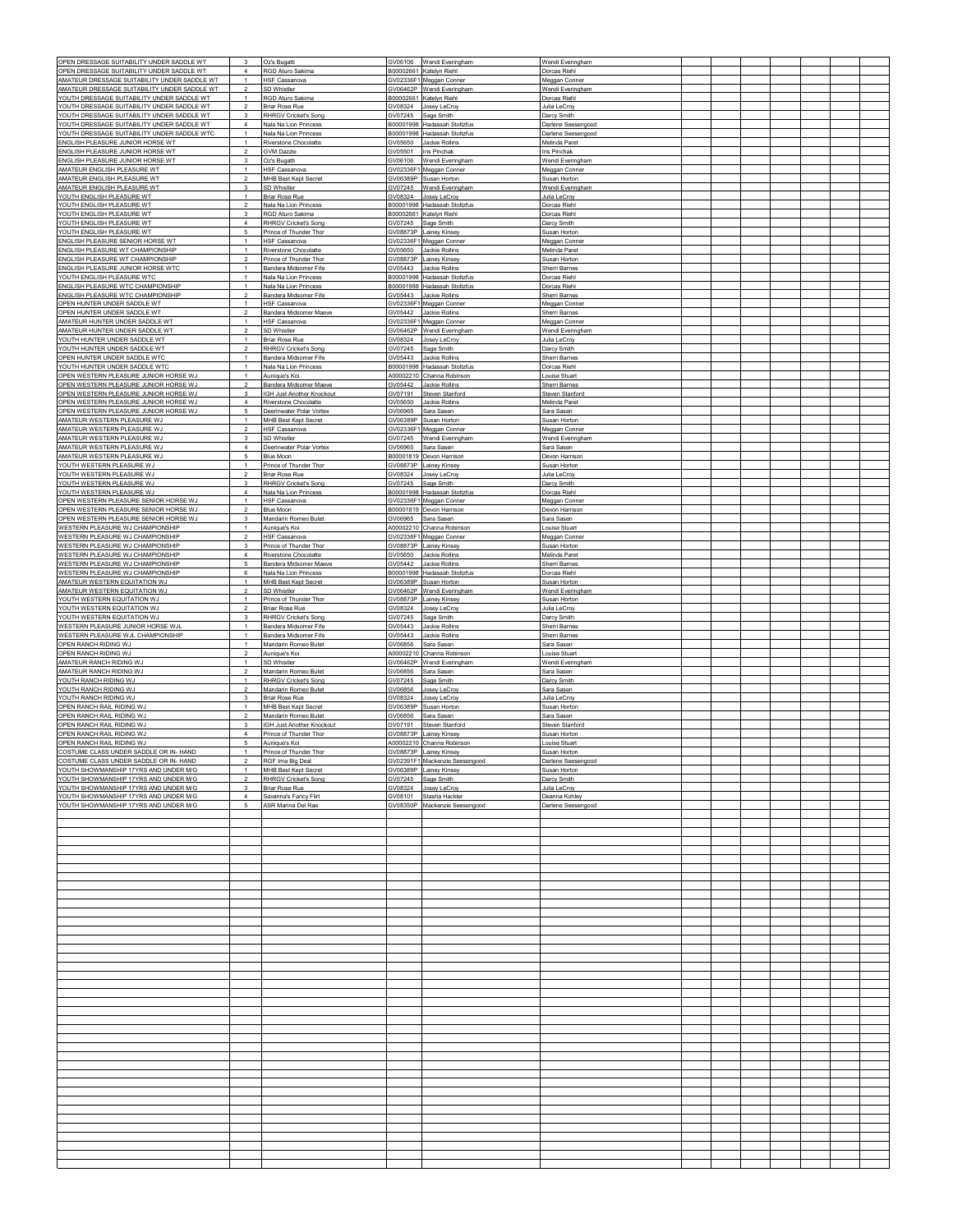| OPEN DRESSAGE SUITABILITY UNDER SADDLE WT                                                    | $\overline{3}$                            | Oz's Bugatti                                          |                      | GV06106 Wendi Everingham                                     | Wendi Everingham                    |  |  |  |  |
|----------------------------------------------------------------------------------------------|-------------------------------------------|-------------------------------------------------------|----------------------|--------------------------------------------------------------|-------------------------------------|--|--|--|--|
| OPEN DRESSAGE SUITABILITY UNDER SADDLE WT                                                    | $\overline{4}$<br>$\overline{1}$          | RGD Aturo Sakima                                      |                      | B00002661 Katelyn Riehl                                      | Dorcas Riehl                        |  |  |  |  |
| AMATEUR DRESSAGE SUITABILITY UNDER SADDLE WT<br>AMATEUR DRESSAGE SUITABILITY UNDER SADDLE WT |                                           | <b>HSF Cassanova</b><br>SD Whistler                   |                      | GV02336F1 Meggan Conner<br>GV06462P Wendi Everingham         | Meggan Conner<br>Wendi Everingham   |  |  |  |  |
| YOUTH DRESSAGE SUITABILITY UNDER SADDLE WT<br>YOUTH DRESSAGE SUITABILITY UNDER SADDLE WT     | $\overline{1}$<br>$\mathcal{P}$           | <b>RGD Aturo Sakima</b>                               |                      | B00002661 Katelyn Riehl                                      | Dorcas Riehl                        |  |  |  |  |
| YOUTH DRESSAGE SUITABILITY UNDER SADDLE WT                                                   | $\mathbf{3}$                              | <b>Briar Rose Rue</b><br><b>RHRGV Cricket's Song</b>  | GV07245              | GV08324 Josey LeCroy<br>Sage Smith                           | Julia LeCrov<br>Darcy Smith         |  |  |  |  |
| YOUTH DRESSAGE SUITABILITY UNDER SADDLE WT                                                   | $\overline{4}$                            | Nala Na Lion Princess                                 |                      | B00001998 Hadassah Stoltzfus                                 | Darlene Seesengood                  |  |  |  |  |
| YOUTH DRESSAGE SUITABILITY UNDER SADDLE WTC<br>ENGLISH PLEASURE JUNIOR HORSE WT              | $\overline{1}$<br>$\overline{1}$          | Nala Na Lion Princess<br>Riverstone Chocolatte        |                      | B00001998 Hadassah Stoltzfus<br>GV05650 Jackie Rollins       | Darlene Seesengood<br>Melinda Paret |  |  |  |  |
| ENGLISH PLEASURE JUNIOR HORSE WT                                                             | $\overline{\mathbf{2}}$                   | GVM Dazzle                                            |                      | GV05501 Iris Pinchak                                         | Iris Pinchak                        |  |  |  |  |
| ENGLISH PLEASURE JUNIOR HORSE WT<br>AMATEUR ENGLISH PLEASURE WT                              | 3<br>$\overline{1}$                       | Oz's Bugatti<br><b>HSF Cassanova</b>                  |                      | GV06106 Wendi Everingham<br>GV02336F1 Meggan Conner          | Wendi Everingham<br>Meggan Conner   |  |  |  |  |
| AMATEUR ENGLISH PLEASURE WT                                                                  | $\overline{\phantom{a}}$                  | MHB Best Kept Secret                                  |                      | GV06389P Susan Horton                                        | Susan Horton                        |  |  |  |  |
| AMATEUR ENGLISH PLEASURE WT<br>YOUTH ENGLISH PLEASURE WT                                     | 3<br>$\overline{1}$                       | SD Whistler<br>Briar Rose Rue                         | GV07245<br>GV08324   | Wendi Everingham<br>Josey LeCroy                             | Wendi Everingham<br>Julia LeCroy    |  |  |  |  |
| YOUTH ENGLISH PLEASURE WT                                                                    | $\overline{\phantom{a}}$                  | Nala Na Lion Princess                                 |                      | B00001998 Hadassah Stoltzfus                                 | Dorcas Riehl                        |  |  |  |  |
| YOUTH ENGLISH PLEASURE WT<br>YOUTH ENGLISH PLEASURE WT                                       | 3<br>$\overline{4}$                       | RGD Aturo Sakima                                      |                      | B00002661 Katelyn Riehl                                      | Dorcas Riehl                        |  |  |  |  |
| YOUTH ENGLISH PLEASURE WT                                                                    | 5                                         | <b>RHRGV Cricket's Song</b><br>Prince of Thunder Thor |                      | GV07245 Sage Smith<br>GV08873P Lainey Kinsey                 | Darcy Smith<br>Susan Horton         |  |  |  |  |
| ENGLISH PLEASURE SENIOR HORSE WT                                                             | $\overline{1}$                            | HSF Cassanova                                         |                      | GV02336F1 Meggan Conner                                      | Meggan Conner                       |  |  |  |  |
| ENGLISH PLEASURE WT CHAMPIONSHIP<br>ENGLISH PLEASURE WT CHAMPIONSHIP                         | $\overline{1}$<br>$\overline{\mathbf{2}}$ | Riverstone Chocolatte<br>Prince of Thunder Thor       |                      | GV05650 Jackie Rollins<br>GV08873P Lainey Kinsey             | Melinda Paret<br>Susan Horton       |  |  |  |  |
| ENGLISH PLEASURE JUNIOR HORSE WTC                                                            | $\overline{1}$                            | Bandera Midsomer Fife                                 |                      | GV05443 Jackie Rollins                                       | Sherri Barnes                       |  |  |  |  |
| YOUTH ENGLISH PLEASURE WTC<br>ENGLISH PLEASURE WTC CHAMPIONSHIP                              | 1<br>$\mathbf{1}$                         | Nala Na Lion Princess<br>Nala Na Lion Princess        |                      | B00001998 Hadassah Stoltzfus<br>B00001988 Hadassah Stoltzfus | Dorcas Riehl<br>Dorcas Riehl        |  |  |  |  |
| ENGLISH PLEASURE WTC CHAMPIONSHIP                                                            | $\overline{2}$                            | Bandera Midsomer Fife                                 |                      | GV05443 Jackie Rollins                                       | Sherri Barnes                       |  |  |  |  |
| OPEN HUNTER UNDER SADDLE WT                                                                  | $\overline{1}$<br>$\overline{2}$          | <b>HSF Cassanova</b>                                  |                      | GV02336F1 Meggan Conner                                      | Meggan Conner                       |  |  |  |  |
| OPEN HUNTER UNDER SADDLE WT<br>AMATEUR HUNTER UNDER SADDLE WT                                | $\overline{1}$                            | Bandera Midsomer Maeve<br><b>HSF Cassanova</b>        | GV05442              | Jackie Rollins<br>GV02336F1 Meggan Conner                    | Sherri Barne<br>Meggan Conner       |  |  |  |  |
| AMATEUR HUNTER UNDER SADDLE WT                                                               | $\mathcal{P}$                             | SD Whistler                                           |                      | GV06462P Wendi Everingham                                    | Wendi Everingham                    |  |  |  |  |
| YOUTH HUNTER UNDER SADDLE WT<br>YOUTH HUNTER UNDER SADDLE WT                                 | $\overline{1}$<br>$\overline{2}$          | <b>Briar Rose Rue</b><br><b>RHRGV Cricket's Song</b>  | GV08324              | Josey LeCroy<br>GV07245 Sage Smith                           | Julia LeCroy<br>Darcy Smith         |  |  |  |  |
| OPEN HUNTER UNDER SADDLE WTC                                                                 | $\overline{1}$                            | Bandera Midsomer Fife                                 |                      | GV05443 Jackie Rollins                                       | Sherri Barnes                       |  |  |  |  |
| YOUTH HUNTER UNDER SADDLE WTC<br>OPEN WESTERN PLEASURE JUNIOR HORSE WJ                       | $\overline{1}$<br>$\mathbf{1}$            | Nala Na Lion Princess<br>Aunique's Koi                |                      | B00001998 Hadassah Stoltzfus<br>A00002210 Channa Robinson    | Dorcas Riehl<br>Louise Stuart       |  |  |  |  |
| OPEN WESTERN PLEASURE JUNIOR HORSE WJ                                                        | $\overline{2}$                            | Bandera Midsomer Maeve                                |                      | GV05442 Jackie Rollins                                       | Sherri Barnes                       |  |  |  |  |
| OPEN WESTERN PLEASURE JUNIOR HORSE WJ                                                        | 3                                         | IGH Just Another Knockout                             | GV07191              | <b>Steven Stanford</b>                                       | Steven Stanford                     |  |  |  |  |
| OPEN WESTERN PLEASURE JUNIOR HORSE WJ<br>OPEN WESTERN PLEASURE JUNIOR HORSE WJ               | $\overline{4}$<br>5                       | Riverstone Chocolatte<br>Deerinwater Polar Vortex     | GV05650<br>GV06965   | Jackie Rollins<br>Sara Sasen                                 | Melinda Paret<br>Sara Sasen         |  |  |  |  |
| AMATEUR WESTERN PLEASURE WJ                                                                  | $\overline{1}$                            | <b>MHB Best Kept Secret</b>                           |                      | GV06389P Susan Horton                                        | Susan Horton                        |  |  |  |  |
| AMATEUR WESTERN PLEASURE WJ<br>AMATEUR WESTERN PLEASURE WJ                                   | $\overline{2}$<br>$\mathbf{3}$            | <b>HSF Cassanova</b><br>SD Whistler                   | GV07245              | GV02336F1 Meggan Conner<br>Wendi Everingham                  | Meggan Conner<br>Wendi Everingham   |  |  |  |  |
| AMATEUR WESTERN PLEASURE WJ                                                                  | $\overline{4}$                            | Deerinwater Polar Vortex                              | GV06965              | Sara Sasen                                                   | Sara Saser                          |  |  |  |  |
| AMATEUR WESTERN PLEASURE WJ                                                                  | 5<br>$\overline{1}$                       | Blue Moon                                             |                      | B00001819 Devon Harrison                                     | Devon Harrison                      |  |  |  |  |
| YOUTH WESTERN PLEASURE WJ<br>YOUTH WESTERN PLEASURE WJ                                       | $\overline{2}$                            | Prince of Thunder Thor<br>Briar Rose Rue              |                      | GV08873P Lainey Kinsey<br>GV08324 Josey LeCroy               | Susan Horton<br>Julia LeCrov        |  |  |  |  |
| YOUTH WESTERN PLEASURE WJ                                                                    | 3                                         | <b>RHRGV Cricket's Song</b>                           |                      | GV07245 Sage Smith                                           | Darcy Smith                         |  |  |  |  |
| YOUTH WESTERN PLEASURE WJ<br>OPEN WESTERN PLEASURE SENIOR HORSE WJ                           | 4<br>$\mathbf{1}$                         | Nala Na Lion Princess<br><b>HSF Cassanova</b>         |                      | B00001998 Hadassah Stoltzfus<br>GV02336F1 Meggan Conner      | Dorcas Riehl<br>Meggan Conner       |  |  |  |  |
| OPEN WESTERN PLEASURE SENIOR HORSE WJ                                                        | $\overline{c}$                            | Blue Moon                                             |                      | B00001819 Devon Harrison                                     | Devon Harrison                      |  |  |  |  |
| OPEN WESTERN PLEASURE SENIOR HORSE WJ<br>WESTERN PLEASURE WJ CHAMPIONSHIP                    | 3<br>$\overline{1}$                       | Mandarin Romeo Butet<br>Aunique's Koi                 |                      | GV06965 Sara Sasen<br>A00002210 Channa Robinson              | Sara Sasen<br>Louise Stuart         |  |  |  |  |
| WESTERN PLEASURE WJ CHAMPIONSHIP                                                             | $\overline{2}$                            | HSF Cassanova                                         |                      | GV02336F1 Meggan Conner                                      | Meggan Conne                        |  |  |  |  |
| WESTERN PLEASURE WJ CHAMPIONSHIP                                                             | $\mathbf{3}$                              | Prince of Thunder Thor                                |                      | GV08873P Lainey Kinsey                                       | Susan Horton                        |  |  |  |  |
| WESTERN PLEASURE WJ CHAMPIONSHIP<br>WESTERN PLEASURE WJ CHAMPIONSHIP                         | $\overline{4}$<br>5                       | Riverstone Chocolatte<br>Bandera Midsomer Maeve       | GV05650<br>GV05442   | Jackie Rollins<br>Jackie Rollins                             | Melinda Paret<br>Sherri Barnes      |  |  |  |  |
| WESTERN PLEASURE WJ CHAMPIONSHIP                                                             | 6                                         | Nala Na Lion Princess                                 |                      | B00001998 Hadassah Stoltzfus                                 | Dorcas Riehl                        |  |  |  |  |
| AMATEUR WESTERN EQUITATION WJ<br>AMATEUR WESTERN EQUITATION WJ                               | $\overline{1}$<br>$\overline{2}$          | MHB Best Kept Secret<br>SD Whistler                   |                      | GV06389P Susan Horton<br>GV06462P Wendi Everingham           | Susan Horton<br>Wendi Everingham    |  |  |  |  |
| YOUTH WESTERN EQUITATION WJ                                                                  | $\overline{1}$                            | Prince of Thunder Thor                                |                      | GV08873P Lainey Kinsey                                       | Susan Horton                        |  |  |  |  |
| YOUTH WESTERN EQUITATION WJ                                                                  | $\overline{2}$<br>3                       | <b>Briair Rose Rue</b><br>RHRGV Cricket's Song        |                      | GV08324 Josey LeCroy                                         | Julia LeCroy                        |  |  |  |  |
| YOUTH WESTERN EQUITATION WJ<br>WESTERN PLEASURE JUNIOR HORSE WJ                              | $\overline{1}$                            | Bandera Midsomer Fife                                 | GV07245<br>GV05443   | Sage Smith<br>Jackie Rollins                                 | Darcy Smith<br>Sherri Barnes        |  |  |  |  |
| WESTERN PLEASURE WJL CHAMPIONSHIP                                                            | $\mathbf{1}$                              | Bandera Midsomer Fife                                 | GV05443              | Jackie Rollins                                               | Sherri Barnes                       |  |  |  |  |
| OPEN RANCH RIDING WJ<br>OPEN RANCH RIDING WJ                                                 | $\overline{1}$<br>$\overline{2}$          | Mandarin Romeo Butet<br>Aunique's Ko                  | GV06856<br>A00002210 | Sara Saser<br>Channa Robinsor                                | Sara Saser<br>Louise Stuar          |  |  |  |  |
| AMATEUR RANCH RIDING WJ                                                                      | $\overline{1}$                            | SD Whistler                                           |                      | GV06462P Wendi Everingham                                    | Wendi Everingham                    |  |  |  |  |
| AMATEUR RANCH RIDING WJ<br>YOUTH RANCH RIDING WJ                                             | $\overline{z}$<br>$\overline{1}$          | Mandarin Romeo Butet<br><b>RHRGV Cricket's Song</b>   | GV06856<br>GV07245   | Sara Sasen<br>Sage Smith                                     | Sara Saser<br>Darcy Smith           |  |  |  |  |
| YOUTH RANCH RIDING WJ                                                                        | $\overline{2}$                            | Mandarin Romeo Butet                                  | GV06856              | Josev LeCroy                                                 | Sara Sasen                          |  |  |  |  |
| YOUTH RANCH RIDING WJ<br>OPEN RANCH RAIL RIDING WJ                                           | 3                                         | Briar Rose Rue                                        | GV08324              | Josey LeCroy                                                 | Julia LeCroy                        |  |  |  |  |
| OPEN RANCH RAIL RIDING WJ                                                                    | $\overline{1}$<br>$\overline{\mathbf{2}}$ | MHB Best Kept Secret<br>Mandarin Romeo Butet          |                      | GV06389P Susan Horton<br>GV06856 Sara Sasen                  | Susan Horton<br>Sara Sasen          |  |  |  |  |
| OPEN RANCH RAIL RIDING WJ                                                                    | 3                                         | IGH Just Another Knockout                             |                      | GV07191 Steven Stanford                                      | Steven Stanford                     |  |  |  |  |
| OPEN RANCH RAIL RIDING WJ<br>OPEN RANCH RAIL RIDING WJ                                       | $\overline{4}$<br>5                       | Prince of Thunder Thor<br>Aunique's Koi               |                      | GV08873P Lainey Kinsey<br>A00002210 Channa Robinson          | Susan Horton<br>ouise Stuart        |  |  |  |  |
| COSTUME CLASS UNDER SADDLE OR IN- HAND                                                       |                                           | Prince of Thunder Thor                                |                      | SV08873P Lainey Kinsey                                       | Susan Horton                        |  |  |  |  |
| COSTUME CLASS UNDER SADDLE OR IN- HAND<br>YOUTH SHOWMANSHIP 17YRS AND UNDER M/G              | $\overline{2}$<br>$\overline{1}$          | RGF Ima Big Deal<br>MHB Best Kept Secret              |                      | GV02391F1 Mackenzie Seesengood<br>GV06389P Lainey Kinsey     | Darlene Seesengood<br>Susan Horton  |  |  |  |  |
| YOUTH SHOWMANSHIP 17YRS AND UNDER M/G                                                        | $\overline{2}$                            | RHRGV Cricket's Song                                  |                      | GV07245 Sage Smith                                           | Darcy Smith                         |  |  |  |  |
| YOUTH SHOWMANSHIP 17YRS AND UNDER M/G<br>YOUTH SHOWMANSHIP 17YRS AND UNDER M/G               | $\overline{\mathbf{3}}$<br>$\overline{4}$ | Briar Rose Rue<br>Savanna's Fancy Flirt               |                      | GV08324 Josey LeCroy<br>GV08101 Stasha Hackler               | Julia LeCroy<br>Deanna Kohley       |  |  |  |  |
| YOUTH SHOWMANSHIP 17YRS AND UNDER M/G                                                        | $5\phantom{.0}$                           | ASR Marina Del Rae                                    |                      | GV08350P Mackenzie Seesengood                                | Darlene Seesengood                  |  |  |  |  |
|                                                                                              |                                           |                                                       |                      |                                                              |                                     |  |  |  |  |
|                                                                                              |                                           |                                                       |                      |                                                              |                                     |  |  |  |  |
|                                                                                              |                                           |                                                       |                      |                                                              |                                     |  |  |  |  |
|                                                                                              |                                           |                                                       |                      |                                                              |                                     |  |  |  |  |
|                                                                                              |                                           |                                                       |                      |                                                              |                                     |  |  |  |  |
|                                                                                              |                                           |                                                       |                      |                                                              |                                     |  |  |  |  |
|                                                                                              |                                           |                                                       |                      |                                                              |                                     |  |  |  |  |
|                                                                                              |                                           |                                                       |                      |                                                              |                                     |  |  |  |  |
|                                                                                              |                                           |                                                       |                      |                                                              |                                     |  |  |  |  |
|                                                                                              |                                           |                                                       |                      |                                                              |                                     |  |  |  |  |
|                                                                                              |                                           |                                                       |                      |                                                              |                                     |  |  |  |  |
|                                                                                              |                                           |                                                       |                      |                                                              |                                     |  |  |  |  |
|                                                                                              |                                           |                                                       |                      |                                                              |                                     |  |  |  |  |
|                                                                                              |                                           |                                                       |                      |                                                              |                                     |  |  |  |  |
|                                                                                              |                                           |                                                       |                      |                                                              |                                     |  |  |  |  |
|                                                                                              |                                           |                                                       |                      |                                                              |                                     |  |  |  |  |
|                                                                                              |                                           |                                                       |                      |                                                              |                                     |  |  |  |  |
|                                                                                              |                                           |                                                       |                      |                                                              |                                     |  |  |  |  |
|                                                                                              |                                           |                                                       |                      |                                                              |                                     |  |  |  |  |
|                                                                                              |                                           |                                                       |                      |                                                              |                                     |  |  |  |  |
|                                                                                              |                                           |                                                       |                      |                                                              |                                     |  |  |  |  |
|                                                                                              |                                           |                                                       |                      |                                                              |                                     |  |  |  |  |
|                                                                                              |                                           |                                                       |                      |                                                              |                                     |  |  |  |  |
|                                                                                              |                                           |                                                       |                      |                                                              |                                     |  |  |  |  |
|                                                                                              |                                           |                                                       |                      |                                                              |                                     |  |  |  |  |
|                                                                                              |                                           |                                                       |                      |                                                              |                                     |  |  |  |  |
|                                                                                              |                                           |                                                       |                      |                                                              |                                     |  |  |  |  |
|                                                                                              |                                           |                                                       |                      |                                                              |                                     |  |  |  |  |
|                                                                                              |                                           |                                                       |                      |                                                              |                                     |  |  |  |  |